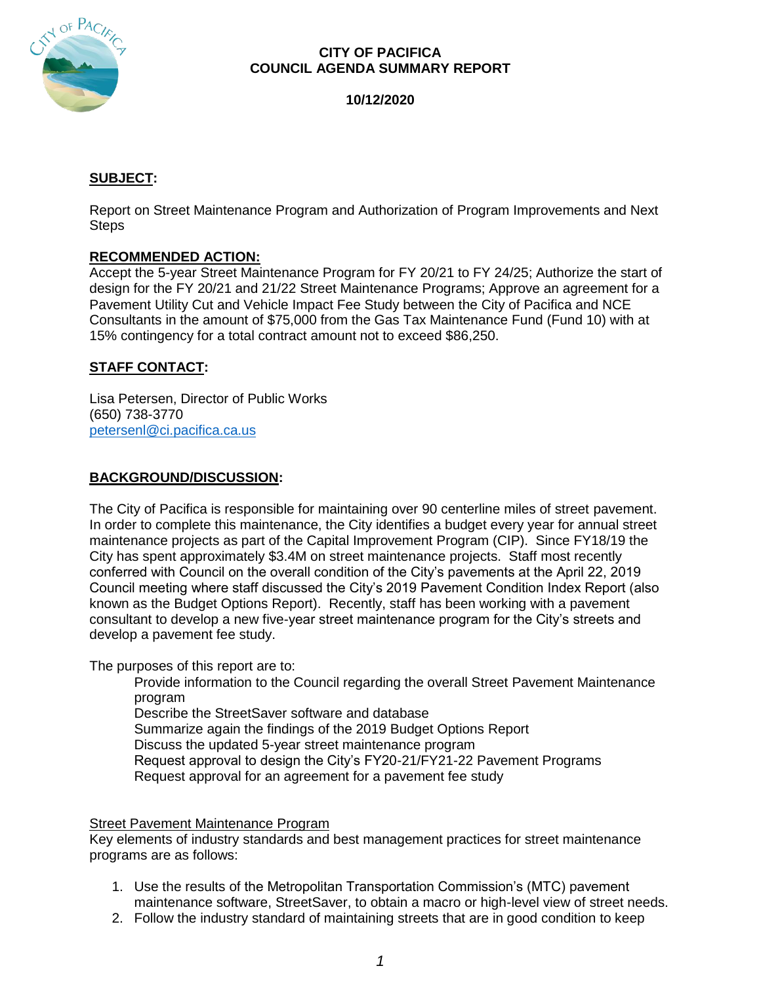

# **CITY OF PACIFICA COUNCIL AGENDA SUMMARY REPORT**

**10/12/2020**

# **SUBJECT:**

Report on Street Maintenance Program and Authorization of Program Improvements and Next **Steps** 

# **RECOMMENDED ACTION:**

Accept the 5-year Street Maintenance Program for FY 20/21 to FY 24/25; Authorize the start of design for the FY 20/21 and 21/22 Street Maintenance Programs; Approve an agreement for a Pavement Utility Cut and Vehicle Impact Fee Study between the City of Pacifica and NCE Consultants in the amount of \$75,000 from the Gas Tax Maintenance Fund (Fund 10) with at 15% contingency for a total contract amount not to exceed \$86,250.

# **STAFF CONTACT:**

Lisa Petersen, Director of Public Works (650) 738-3770 petersenl@ci.pacifica.ca.us

# **BACKGROUND/DISCUSSION:**

The City of Pacifica is responsible for maintaining over 90 centerline miles of street pavement. In order to complete this maintenance, the City identifies a budget every year for annual street maintenance projects as part of the Capital Improvement Program (CIP). Since FY18/19 the City has spent approximately \$3.4M on street maintenance projects. Staff most recently conferred with Council on the overall condition of the City's pavements at the April 22, 2019 Council meeting where staff discussed the City's 2019 Pavement Condition Index Report (also known as the Budget Options Report). Recently, staff has been working with a pavement consultant to develop a new five-year street maintenance program for the City's streets and develop a pavement fee study.

The purposes of this report are to:

Provide information to the Council regarding the overall Street Pavement Maintenance program

Describe the StreetSaver software and database

Summarize again the findings of the 2019 Budget Options Report

Discuss the updated 5-year street maintenance program

Request approval to design the City's FY20-21/FY21-22 Pavement Programs

Request approval for an agreement for a pavement fee study

Street Pavement Maintenance Program

Key elements of industry standards and best management practices for street maintenance programs are as follows:

- 1. Use the results of the Metropolitan Transportation Commission's (MTC) pavement maintenance software, StreetSaver, to obtain a macro or high-level view of street needs.
- 2. Follow the industry standard of maintaining streets that are in good condition to keep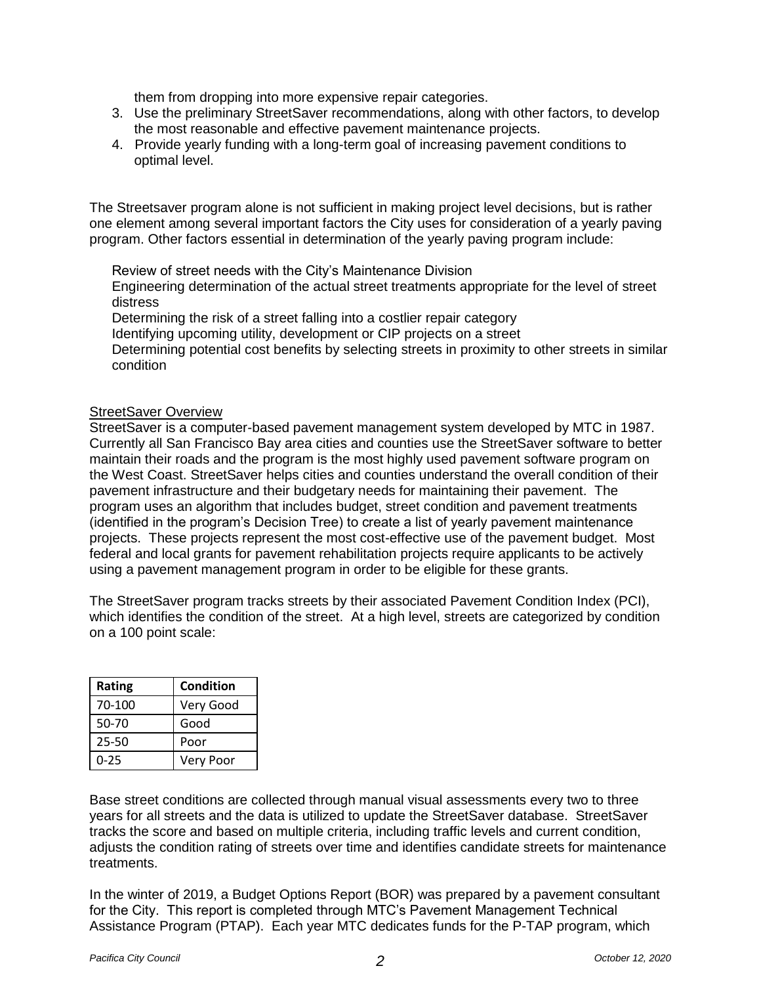them from dropping into more expensive repair categories.

- 3. Use the preliminary StreetSaver recommendations, along with other factors, to develop the most reasonable and effective pavement maintenance projects.
- 4. Provide yearly funding with a long-term goal of increasing pavement conditions to optimal level.

The Streetsaver program alone is not sufficient in making project level decisions, but is rather one element among several important factors the City uses for consideration of a yearly paving program. Other factors essential in determination of the yearly paving program include:

Review of street needs with the City's Maintenance Division Engineering determination of the actual street treatments appropriate for the level of street distress Determining the risk of a street falling into a costlier repair category

Identifying upcoming utility, development or CIP projects on a street

Determining potential cost benefits by selecting streets in proximity to other streets in similar condition

# **StreetSaver Overview**

StreetSaver is a computer-based pavement management system developed by MTC in 1987. Currently all San Francisco Bay area cities and counties use the StreetSaver software to better maintain their roads and the program is the most highly used pavement software program on the West Coast. StreetSaver helps cities and counties understand the overall condition of their pavement infrastructure and their budgetary needs for maintaining their pavement. The program uses an algorithm that includes budget, street condition and pavement treatments (identified in the program's Decision Tree) to create a list of yearly pavement maintenance projects. These projects represent the most cost-effective use of the pavement budget. Most federal and local grants for pavement rehabilitation projects require applicants to be actively using a pavement management program in order to be eligible for these grants.

The StreetSaver program tracks streets by their associated Pavement Condition Index (PCI), which identifies the condition of the street. At a high level, streets are categorized by condition on a 100 point scale:

| Rating   | <b>Condition</b> |
|----------|------------------|
| 70-100   | Very Good        |
| 50-70    | Good             |
| 25-50    | Poor             |
| $0 - 25$ | Very Poor        |

Base street conditions are collected through manual visual assessments every two to three years for all streets and the data is utilized to update the StreetSaver database. StreetSaver tracks the score and based on multiple criteria, including traffic levels and current condition, adjusts the condition rating of streets over time and identifies candidate streets for maintenance treatments.

In the winter of 2019, a Budget Options Report (BOR) was prepared by a pavement consultant for the City. This report is completed through MTC's Pavement Management Technical Assistance Program (PTAP). Each year MTC dedicates funds for the P-TAP program, which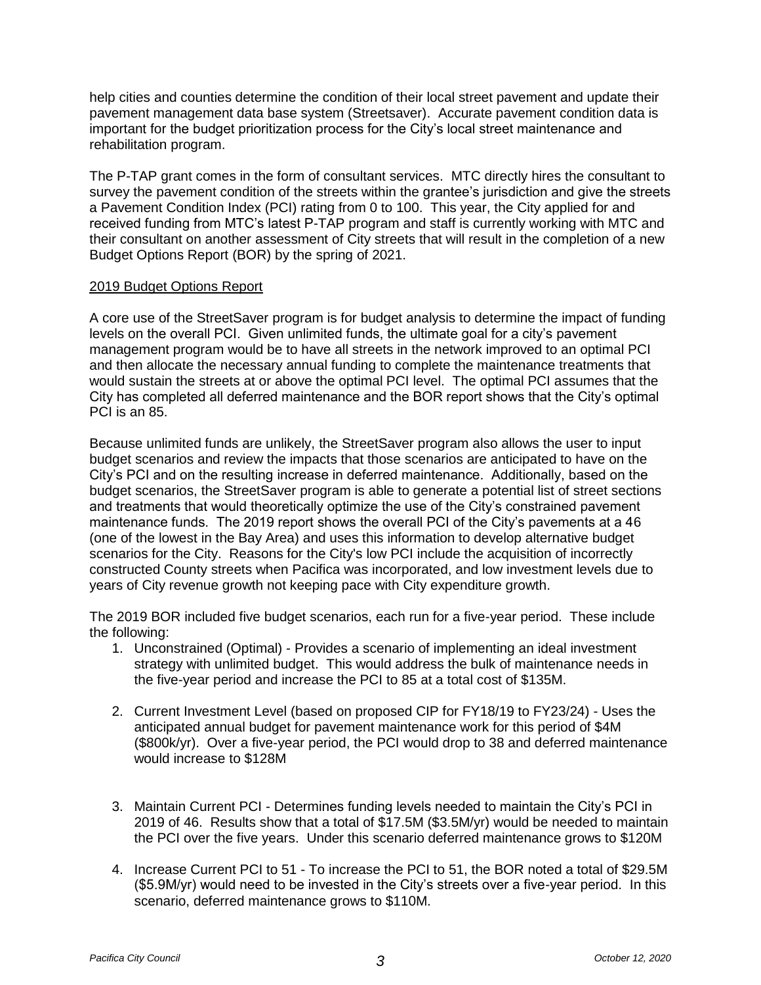help cities and counties determine the condition of their local street pavement and update their pavement management data base system (Streetsaver). Accurate pavement condition data is important for the budget prioritization process for the City's local street maintenance and rehabilitation program.

The P-TAP grant comes in the form of consultant services. MTC directly hires the consultant to survey the pavement condition of the streets within the grantee's jurisdiction and give the streets a Pavement Condition Index (PCI) rating from 0 to 100. This year, the City applied for and received funding from MTC's latest P-TAP program and staff is currently working with MTC and their consultant on another assessment of City streets that will result in the completion of a new Budget Options Report (BOR) by the spring of 2021.

# 2019 Budget Options Report

A core use of the StreetSaver program is for budget analysis to determine the impact of funding levels on the overall PCI. Given unlimited funds, the ultimate goal for a city's pavement management program would be to have all streets in the network improved to an optimal PCI and then allocate the necessary annual funding to complete the maintenance treatments that would sustain the streets at or above the optimal PCI level. The optimal PCI assumes that the City has completed all deferred maintenance and the BOR report shows that the City's optimal PCI is an 85.

Because unlimited funds are unlikely, the StreetSaver program also allows the user to input budget scenarios and review the impacts that those scenarios are anticipated to have on the City's PCI and on the resulting increase in deferred maintenance. Additionally, based on the budget scenarios, the StreetSaver program is able to generate a potential list of street sections and treatments that would theoretically optimize the use of the City's constrained pavement maintenance funds. The 2019 report shows the overall PCI of the City's pavements at a 46 (one of the lowest in the Bay Area) and uses this information to develop alternative budget scenarios for the City. Reasons for the City's low PCI include the acquisition of incorrectly constructed County streets when Pacifica was incorporated, and low investment levels due to years of City revenue growth not keeping pace with City expenditure growth.

The 2019 BOR included five budget scenarios, each run for a five-year period. These include the following:

- 1. Unconstrained (Optimal) Provides a scenario of implementing an ideal investment strategy with unlimited budget. This would address the bulk of maintenance needs in the five-year period and increase the PCI to 85 at a total cost of \$135M.
- 2. Current Investment Level (based on proposed CIP for FY18/19 to FY23/24) Uses the anticipated annual budget for pavement maintenance work for this period of \$4M (\$800k/yr). Over a five-year period, the PCI would drop to 38 and deferred maintenance would increase to \$128M
- 3. Maintain Current PCI Determines funding levels needed to maintain the City's PCI in 2019 of 46. Results show that a total of \$17.5M (\$3.5M/yr) would be needed to maintain the PCI over the five years. Under this scenario deferred maintenance grows to \$120M
- 4. Increase Current PCI to 51 To increase the PCI to 51, the BOR noted a total of \$29.5M (\$5.9M/yr) would need to be invested in the City's streets over a five-year period. In this scenario, deferred maintenance grows to \$110M.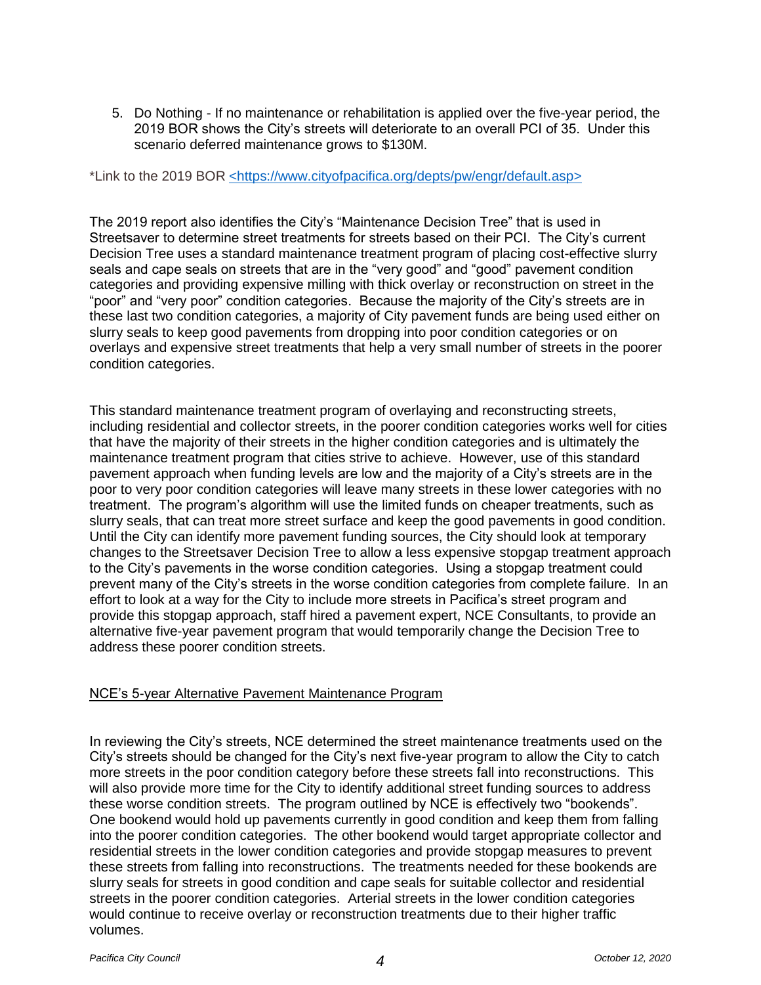5. Do Nothing - If no maintenance or rehabilitation is applied over the five-year period, the 2019 BOR shows the City's streets will deteriorate to an overall PCI of 35. Under this scenario deferred maintenance grows to \$130M.

\*Link to the 2019 BOR <https://www.cityofpacifica.org/depts/pw/engr/default.asp>

The 2019 report also identifies the City's "Maintenance Decision Tree" that is used in Streetsaver to determine street treatments for streets based on their PCI. The City's current Decision Tree uses a standard maintenance treatment program of placing cost-effective slurry seals and cape seals on streets that are in the "very good" and "good" pavement condition categories and providing expensive milling with thick overlay or reconstruction on street in the "poor" and "very poor" condition categories. Because the majority of the City's streets are in these last two condition categories, a majority of City pavement funds are being used either on slurry seals to keep good pavements from dropping into poor condition categories or on overlays and expensive street treatments that help a very small number of streets in the poorer condition categories.

This standard maintenance treatment program of overlaying and reconstructing streets, including residential and collector streets, in the poorer condition categories works well for cities that have the majority of their streets in the higher condition categories and is ultimately the maintenance treatment program that cities strive to achieve. However, use of this standard pavement approach when funding levels are low and the majority of a City's streets are in the poor to very poor condition categories will leave many streets in these lower categories with no treatment. The program's algorithm will use the limited funds on cheaper treatments, such as slurry seals, that can treat more street surface and keep the good pavements in good condition. Until the City can identify more pavement funding sources, the City should look at temporary changes to the Streetsaver Decision Tree to allow a less expensive stopgap treatment approach to the City's pavements in the worse condition categories. Using a stopgap treatment could prevent many of the City's streets in the worse condition categories from complete failure. In an effort to look at a way for the City to include more streets in Pacifica's street program and provide this stopgap approach, staff hired a pavement expert, NCE Consultants, to provide an alternative five-year pavement program that would temporarily change the Decision Tree to address these poorer condition streets.

# NCE's 5-year Alternative Pavement Maintenance Program

In reviewing the City's streets, NCE determined the street maintenance treatments used on the City's streets should be changed for the City's next five-year program to allow the City to catch more streets in the poor condition category before these streets fall into reconstructions. This will also provide more time for the City to identify additional street funding sources to address these worse condition streets. The program outlined by NCE is effectively two "bookends". One bookend would hold up pavements currently in good condition and keep them from falling into the poorer condition categories. The other bookend would target appropriate collector and residential streets in the lower condition categories and provide stopgap measures to prevent these streets from falling into reconstructions. The treatments needed for these bookends are slurry seals for streets in good condition and cape seals for suitable collector and residential streets in the poorer condition categories. Arterial streets in the lower condition categories would continue to receive overlay or reconstruction treatments due to their higher traffic volumes.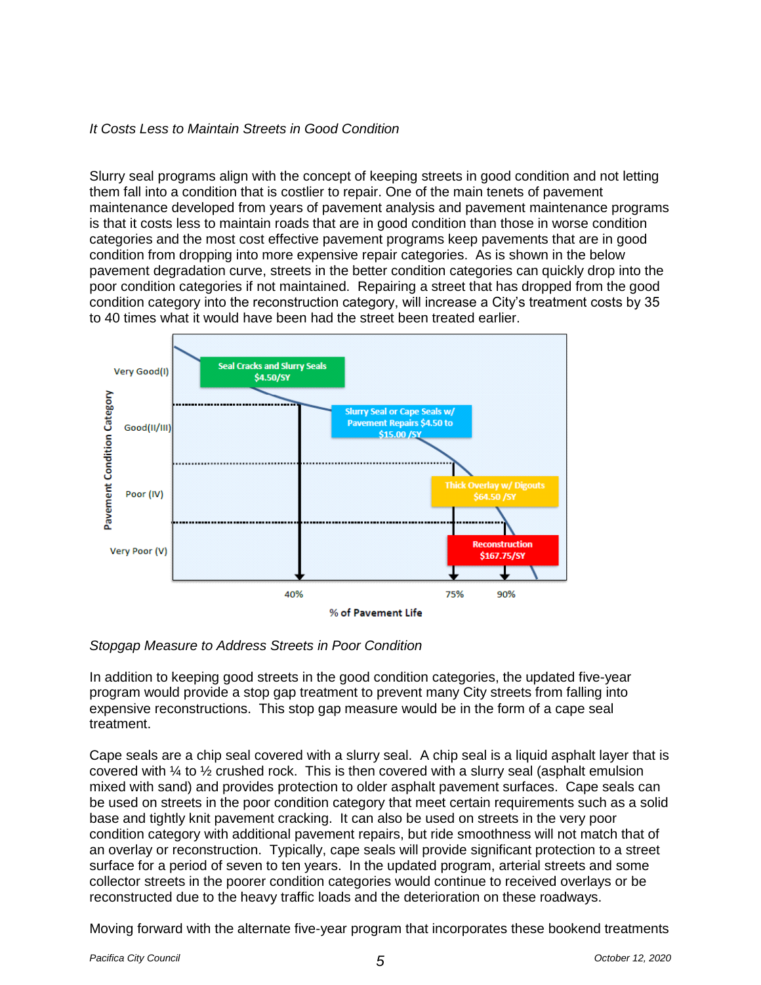# *It Costs Less to Maintain Streets in Good Condition*

Slurry seal programs align with the concept of keeping streets in good condition and not letting them fall into a condition that is costlier to repair. One of the main tenets of pavement maintenance developed from years of pavement analysis and pavement maintenance programs is that it costs less to maintain roads that are in good condition than those in worse condition categories and the most cost effective pavement programs keep pavements that are in good condition from dropping into more expensive repair categories. As is shown in the below pavement degradation curve, streets in the better condition categories can quickly drop into the poor condition categories if not maintained. Repairing a street that has dropped from the good condition category into the reconstruction category, will increase a City's treatment costs by 35 to 40 times what it would have been had the street been treated earlier.



*Stopgap Measure to Address Streets in Poor Condition*

In addition to keeping good streets in the good condition categories, the updated five-year program would provide a stop gap treatment to prevent many City streets from falling into expensive reconstructions. This stop gap measure would be in the form of a cape seal treatment.

Cape seals are a chip seal covered with a slurry seal. A chip seal is a liquid asphalt layer that is covered with  $\frac{1}{4}$  to  $\frac{1}{2}$  crushed rock. This is then covered with a slurry seal (asphalt emulsion mixed with sand) and provides protection to older asphalt pavement surfaces. Cape seals can be used on streets in the poor condition category that meet certain requirements such as a solid base and tightly knit pavement cracking. It can also be used on streets in the very poor condition category with additional pavement repairs, but ride smoothness will not match that of an overlay or reconstruction. Typically, cape seals will provide significant protection to a street surface for a period of seven to ten years. In the updated program, arterial streets and some collector streets in the poorer condition categories would continue to received overlays or be reconstructed due to the heavy traffic loads and the deterioration on these roadways.

Moving forward with the alternate five-year program that incorporates these bookend treatments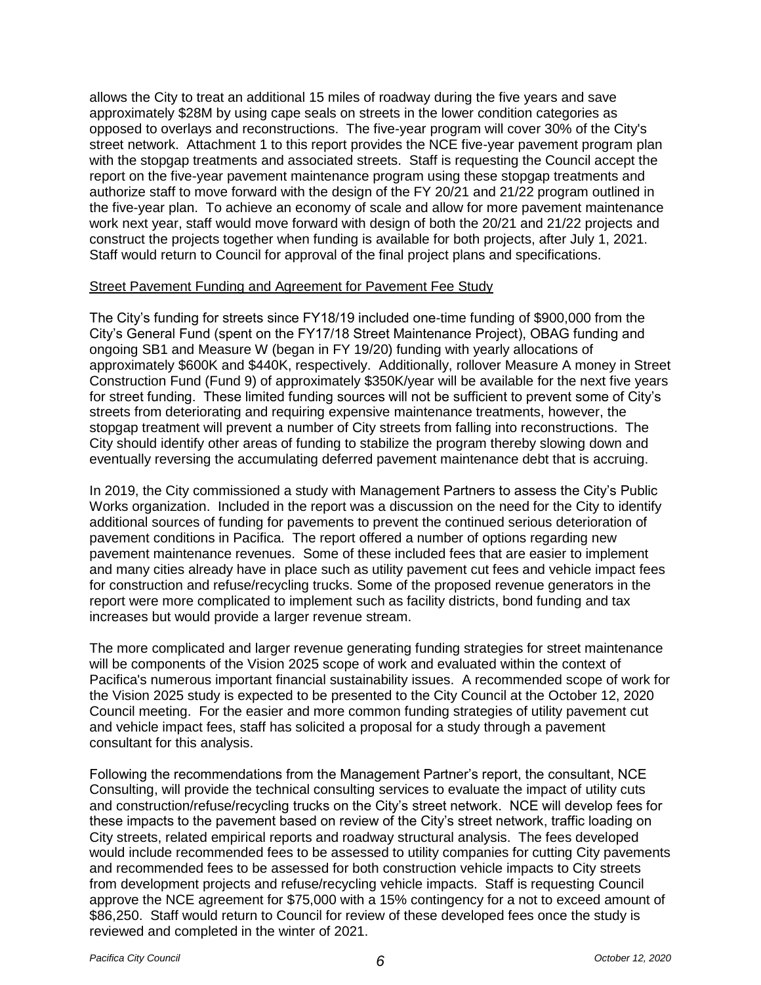allows the City to treat an additional 15 miles of roadway during the five years and save approximately \$28M by using cape seals on streets in the lower condition categories as opposed to overlays and reconstructions. The five-year program will cover 30% of the City's street network. Attachment 1 to this report provides the NCE five-year pavement program plan with the stopgap treatments and associated streets. Staff is requesting the Council accept the report on the five-year pavement maintenance program using these stopgap treatments and authorize staff to move forward with the design of the FY 20/21 and 21/22 program outlined in the five-year plan. To achieve an economy of scale and allow for more pavement maintenance work next year, staff would move forward with design of both the 20/21 and 21/22 projects and construct the projects together when funding is available for both projects, after July 1, 2021. Staff would return to Council for approval of the final project plans and specifications.

#### Street Pavement Funding and Agreement for Pavement Fee Study

The City's funding for streets since FY18/19 included one-time funding of \$900,000 from the City's General Fund (spent on the FY17/18 Street Maintenance Project), OBAG funding and ongoing SB1 and Measure W (began in FY 19/20) funding with yearly allocations of approximately \$600K and \$440K, respectively. Additionally, rollover Measure A money in Street Construction Fund (Fund 9) of approximately \$350K/year will be available for the next five years for street funding. These limited funding sources will not be sufficient to prevent some of City's streets from deteriorating and requiring expensive maintenance treatments, however, the stopgap treatment will prevent a number of City streets from falling into reconstructions. The City should identify other areas of funding to stabilize the program thereby slowing down and eventually reversing the accumulating deferred pavement maintenance debt that is accruing.

In 2019, the City commissioned a study with Management Partners to assess the City's Public Works organization. Included in the report was a discussion on the need for the City to identify additional sources of funding for pavements to prevent the continued serious deterioration of pavement conditions in Pacifica. The report offered a number of options regarding new pavement maintenance revenues. Some of these included fees that are easier to implement and many cities already have in place such as utility pavement cut fees and vehicle impact fees for construction and refuse/recycling trucks. Some of the proposed revenue generators in the report were more complicated to implement such as facility districts, bond funding and tax increases but would provide a larger revenue stream.

The more complicated and larger revenue generating funding strategies for street maintenance will be components of the Vision 2025 scope of work and evaluated within the context of Pacifica's numerous important financial sustainability issues. A recommended scope of work for the Vision 2025 study is expected to be presented to the City Council at the October 12, 2020 Council meeting. For the easier and more common funding strategies of utility pavement cut and vehicle impact fees, staff has solicited a proposal for a study through a pavement consultant for this analysis.

Following the recommendations from the Management Partner's report, the consultant, NCE Consulting, will provide the technical consulting services to evaluate the impact of utility cuts and construction/refuse/recycling trucks on the City's street network. NCE will develop fees for these impacts to the pavement based on review of the City's street network, traffic loading on City streets, related empirical reports and roadway structural analysis. The fees developed would include recommended fees to be assessed to utility companies for cutting City pavements and recommended fees to be assessed for both construction vehicle impacts to City streets from development projects and refuse/recycling vehicle impacts. Staff is requesting Council approve the NCE agreement for \$75,000 with a 15% contingency for a not to exceed amount of \$86,250. Staff would return to Council for review of these developed fees once the study is reviewed and completed in the winter of 2021.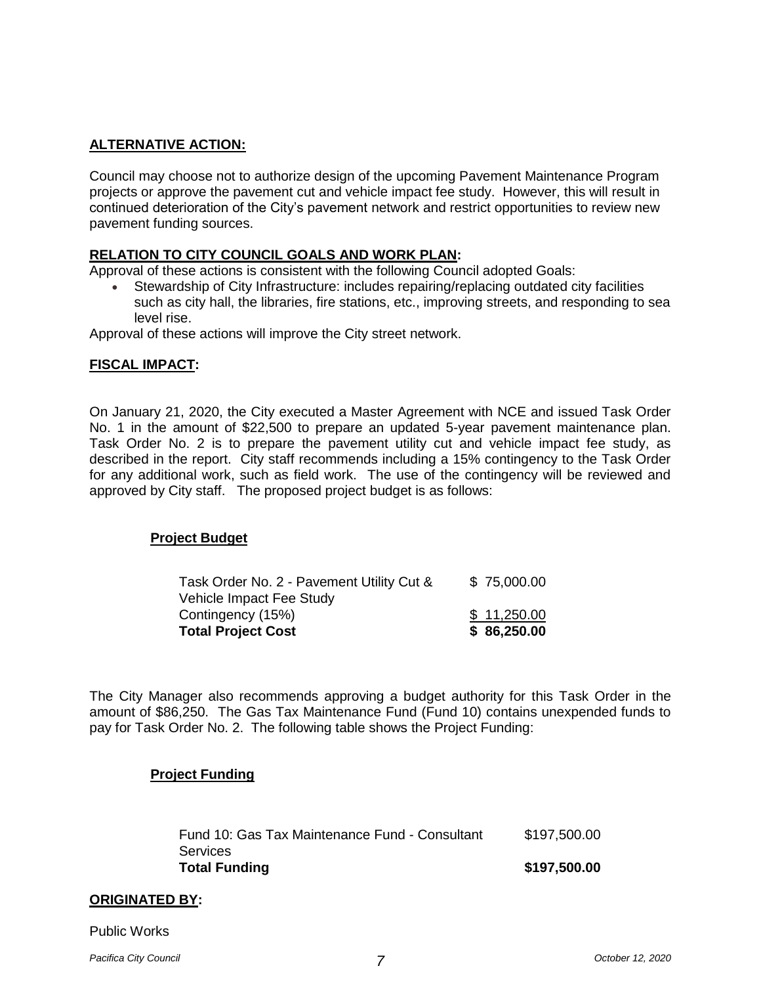# **ALTERNATIVE ACTION:**

Council may choose not to authorize design of the upcoming Pavement Maintenance Program projects or approve the pavement cut and vehicle impact fee study. However, this will result in continued deterioration of the City's pavement network and restrict opportunities to review new pavement funding sources.

# **RELATION TO CITY COUNCIL GOALS AND WORK PLAN:**

Approval of these actions is consistent with the following Council adopted Goals:

 Stewardship of City Infrastructure: includes repairing/replacing outdated city facilities such as city hall, the libraries, fire stations, etc., improving streets, and responding to sea level rise.

Approval of these actions will improve the City street network.

# **FISCAL IMPACT:**

On January 21, 2020, the City executed a Master Agreement with NCE and issued Task Order No. 1 in the amount of \$22,500 to prepare an updated 5-year pavement maintenance plan. Task Order No. 2 is to prepare the pavement utility cut and vehicle impact fee study, as described in the report. City staff recommends including a 15% contingency to the Task Order for any additional work, such as field work. The use of the contingency will be reviewed and approved by City staff. The proposed project budget is as follows:

# **Project Budget**

| <b>Total Project Cost</b>                 | \$86,250.00 |
|-------------------------------------------|-------------|
| Contingency (15%)                         | \$11,250.00 |
| Vehicle Impact Fee Study                  |             |
| Task Order No. 2 - Pavement Utility Cut & | \$75,000.00 |

The City Manager also recommends approving a budget authority for this Task Order in the amount of \$86,250. The Gas Tax Maintenance Fund (Fund 10) contains unexpended funds to pay for Task Order No. 2. The following table shows the Project Funding:

# **Project Funding**

| <b>Total Funding</b>                           | \$197,500.00 |
|------------------------------------------------|--------------|
| Services                                       |              |
| Fund 10: Gas Tax Maintenance Fund - Consultant | \$197,500.00 |

#### **ORIGINATED BY:**

Public Works

*Pacifica City Council 7*